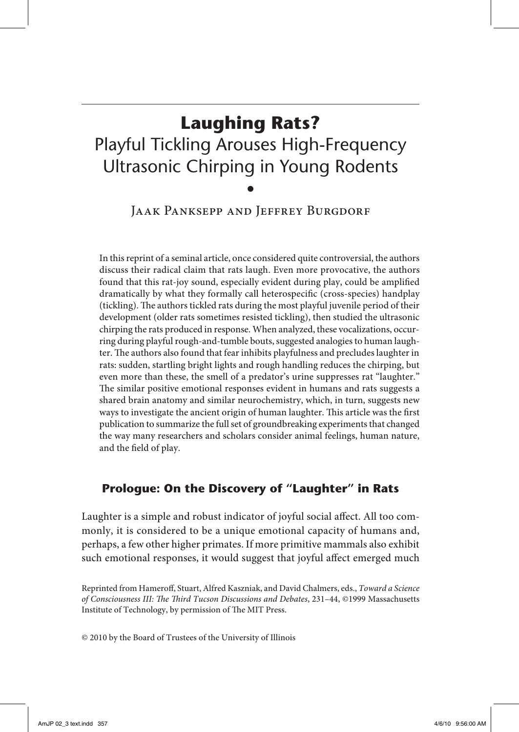# **Laughing Rats?** Playful Tickling Arouses High-Frequency Ultrasonic Chirping in Young Rodents •

JAAK PANKSEPP AND JEFFREY BURGDORF

In this reprint of a seminal article, once considered quite controversial, the authors discuss their radical claim that rats laugh. Even more provocative, the authors found that this rat-joy sound, especially evident during play, could be amplified dramatically by what they formally call heterospecific (cross-species) handplay (tickling). The authors tickled rats during the most playful juvenile period of their development (older rats sometimes resisted tickling), then studied the ultrasonic chirping the rats produced in response. When analyzed, these vocalizations, occurring during playful rough-and-tumble bouts, suggested analogies to human laughter. The authors also found that fear inhibits playfulness and precludes laughter in rats: sudden, startling bright lights and rough handling reduces the chirping, but even more than these, the smell of a predator's urine suppresses rat "laughter." The similar positive emotional responses evident in humans and rats suggests a shared brain anatomy and similar neurochemistry, which, in turn, suggests new ways to investigate the ancient origin of human laughter. This article was the first publication to summarize the full set of groundbreaking experiments that changed the way many researchers and scholars consider animal feelings, human nature, and the field of play.

## **Prologue: On the Discovery of "Laughter" in Rats**

Laughter is a simple and robust indicator of joyful social affect. All too commonly, it is considered to be a unique emotional capacity of humans and, perhaps, a few other higher primates. If more primitive mammals also exhibit such emotional responses, it would suggest that joyful affect emerged much

Reprinted from Hameroff, Stuart, Alfred Kaszniak, and David Chalmers, eds., *Toward a Science of Consciousness III: The Third Tucson Discussions and Debates*, 231–44, ©1999 Massachusetts Institute of Technology, by permission of The MIT Press.

© 2010 by the Board of Trustees of the University of Illinois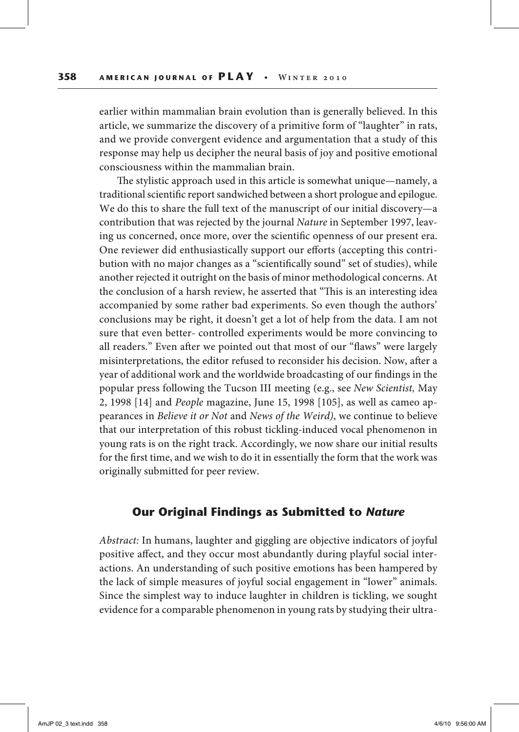earlier within mammalian brain evolution than is generally believed. In this article, we summarize the discovery of a primitive form of "laughter" in rats, and we provide convergent evidence and argumentation that a study of this response may help us decipher the neural basis of joy and positive emotional consciousness within the mammalian brain.

The stylistic approach used in this article is somewhat unique—namely, a traditional scientific report sandwiched between a short prologue and epilogue. We do this to share the full text of the manuscript of our initial discovery—a contribution that was rejected by the journal *Nature* in September 1997, leaving us concerned, once more, over the scientific openness of our present era. One reviewer did enthusiastically support our efforts (accepting this contribution with no major changes as a "scientifically sound" set of studies), while another rejected it outright on the basis of minor methodological concerns. At the conclusion of a harsh review, he asserted that "This is an interesting idea accompanied by some rather bad experiments. So even though the authors' conclusions may be right, it doesn't get a lot of help from the data. I am not sure that even better- controlled experiments would be more convincing to all readers." Even after we pointed out that most of our "flaws" were largely misinterpretations, the editor refused to reconsider his decision. Now, after a year of additional work and the worldwide broadcasting of our findings in the popular press following the Tucson III meeting (e.g., see *New Scientist,* May 2, 1998 [14] and *People* magazine, June 15, 1998 [105], as well as cameo appearances in *Believe it or Not* and *News of the Weird)*, we continue to believe that our interpretation of this robust tickling-induced vocal phenomenon in young rats is on the right track. Accordingly, we now share our initial results for the first time, and we wish to do it in essentially the form that the work was originally submitted for peer review.

#### **Our Original Findings as Submitted to** *Nature*

*Abstract:* In humans, laughter and giggling are objective indicators of joyful positive affect, and they occur most abundantly during playful social interactions. An understanding of such positive emotions has been hampered by the lack of simple measures of joyful social engagement in "lower" animals. Since the simplest way to induce laughter in children is tickling, we sought evidence for a comparable phenomenon in young rats by studying their ultra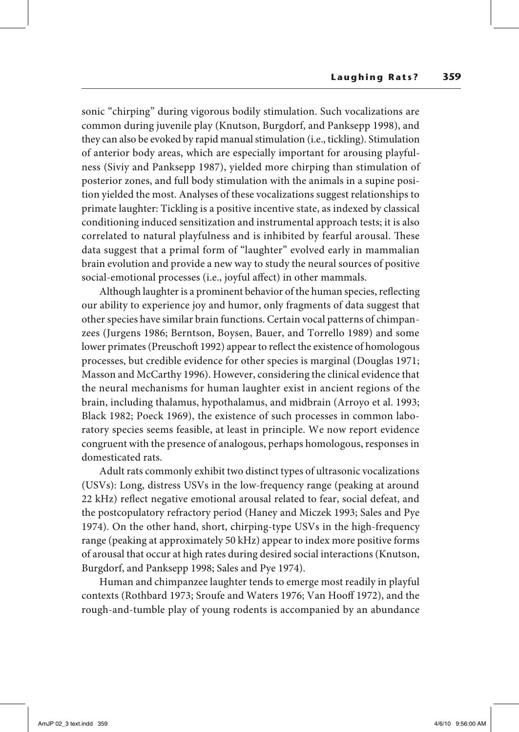sonic "chirping" during vigorous bodily stimulation. Such vocalizations are common during juvenile play (Knutson, Burgdorf, and Panksepp 1998), and they can also be evoked by rapid manual stimulation (i.e., tickling). Stimulation of anterior body areas, which are especially important for arousing playfulness (Siviy and Panksepp 1987), yielded more chirping than stimulation of posterior zones, and full body stimulation with the animals in a supine position yielded the most. Analyses of these vocalizations suggest relationships to primate laughter: Tickling is a positive incentive state, as indexed by classical conditioning induced sensitization and instrumental approach tests; it is also correlated to natural playfulness and is inhibited by fearful arousal. These data suggest that a primal form of "laughter" evolved early in mammalian brain evolution and provide a new way to study the neural sources of positive social-emotional processes (i.e., joyful affect) in other mammals.

Although laughter is a prominent behavior of the human species, reflecting our ability to experience joy and humor, only fragments of data suggest that other species have similar brain functions. Certain vocal patterns of chimpanzees (Jurgens 1986; Berntson, Boysen, Bauer, and Torrello 1989) and some lower primates (Preuschoft 1992) appear to reflect the existence of homologous processes, but credible evidence for other species is marginal (Douglas 1971; Masson and McCarthy 1996). However, considering the clinical evidence that the neural mechanisms for human laughter exist in ancient regions of the brain, including thalamus, hypothalamus, and midbrain (Arroyo et al. 1993; Black 1982; Poeck 1969), the existence of such processes in common laboratory species seems feasible, at least in principle. We now report evidence congruent with the presence of analogous, perhaps homologous, responses in domesticated rats.

Adult rats commonly exhibit two distinct types of ultrasonic vocalizations (USVs): Long, distress USVs in the low-frequency range (peaking at around 22 kHz) reflect negative emotional arousal related to fear, social defeat, and the postcopulatory refractory period (Haney and Miczek 1993; Sales and Pye 1974). On the other hand, short, chirping-type USVs in the high-frequency range (peaking at approximately 50 kHz) appear to index more positive forms of arousal that occur at high rates during desired social interactions (Knutson, Burgdorf, and Panksepp 1998; Sales and Pye 1974).

Human and chimpanzee laughter tends to emerge most readily in playful contexts (Rothbard 1973; Sroufe and Waters 1976; Van Hooff 1972), and the rough-and-tumble play of young rodents is accompanied by an abundance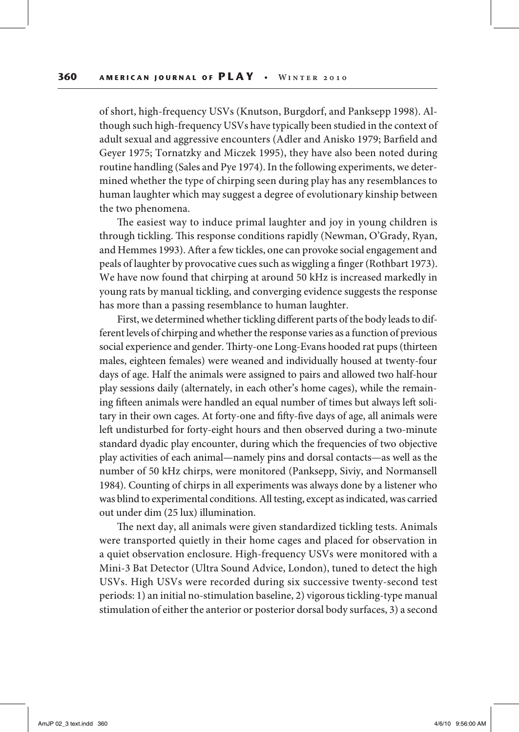of short, high-frequency USVs (Knutson, Burgdorf, and Panksepp 1998). Although such high-frequency USVs have typically been studied in the context of adult sexual and aggressive encounters (Adler and Anisko 1979; Barfield and Geyer 1975; Tornatzky and Miczek 1995), they have also been noted during routine handling (Sales and Pye 1974). In the following experiments, we determined whether the type of chirping seen during play has any resemblances to human laughter which may suggest a degree of evolutionary kinship between the two phenomena.

The easiest way to induce primal laughter and joy in young children is through tickling. This response conditions rapidly (Newman, O'Grady, Ryan, and Hemmes 1993). After a few tickles, one can provoke social engagement and peals of laughter by provocative cues such as wiggling a finger (Rothbart 1973). We have now found that chirping at around 50 kHz is increased markedly in young rats by manual tickling, and converging evidence suggests the response has more than a passing resemblance to human laughter.

First, we determined whether tickling different parts of the body leads to different levels of chirping and whether the response varies as a function of previous social experience and gender. Thirty-one Long-Evans hooded rat pups (thirteen males, eighteen females) were weaned and individually housed at twenty-four days of age. Half the animals were assigned to pairs and allowed two half-hour play sessions daily (alternately, in each other's home cages), while the remaining fifteen animals were handled an equal number of times but always left solitary in their own cages. At forty-one and fifty-five days of age, all animals were left undisturbed for forty-eight hours and then observed during a two-minute standard dyadic play encounter, during which the frequencies of two objective play activities of each animal—namely pins and dorsal contacts—as well as the number of 50 kHz chirps, were monitored (Panksepp, Siviy, and Normansell 1984). Counting of chirps in all experiments was always done by a listener who was blind to experimental conditions. All testing, except as indicated, was carried out under dim (25 lux) illumination.

The next day, all animals were given standardized tickling tests. Animals were transported quietly in their home cages and placed for observation in a quiet observation enclosure. High-frequency USVs were monitored with a Mini-3 Bat Detector (Ultra Sound Advice, London), tuned to detect the high USVs. High USVs were recorded during six successive twenty-second test periods: 1) an initial no-stimulation baseline, 2) vigorous tickling-type manual stimulation of either the anterior or posterior dorsal body surfaces, 3) a second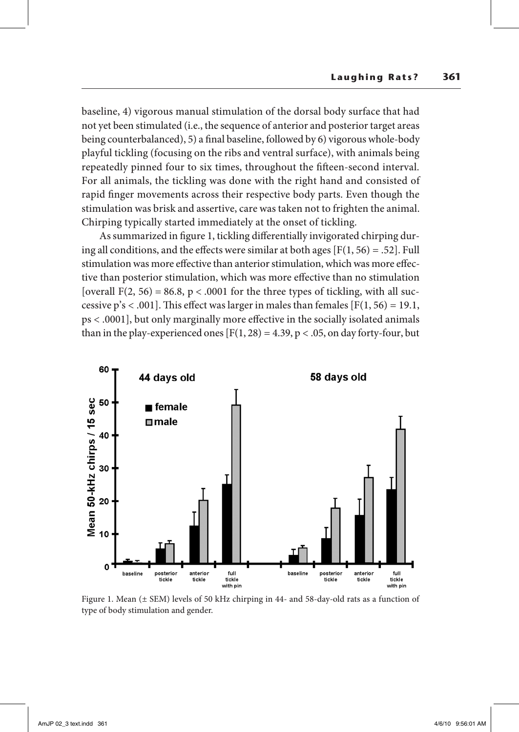baseline, 4) vigorous manual stimulation of the dorsal body surface that had not yet been stimulated (i.e., the sequence of anterior and posterior target areas being counterbalanced), 5) a final baseline, followed by 6) vigorous whole-body playful tickling (focusing on the ribs and ventral surface), with animals being repeatedly pinned four to six times, throughout the fifteen-second interval. For all animals, the tickling was done with the right hand and consisted of rapid finger movements across their respective body parts. Even though the stimulation was brisk and assertive, care was taken not to frighten the animal. Chirping typically started immediately at the onset of tickling.

As summarized in figure 1, tickling differentially invigorated chirping during all conditions, and the effects were similar at both ages  $[F(1, 56) = .52]$ . Full stimulation was more effective than anterior stimulation, which was more effective than posterior stimulation, which was more effective than no stimulation [overall F(2, 56) = 86.8,  $p < .0001$  for the three types of tickling, with all successive  $p's < .001$ . This effect was larger in males than females [F(1, 56) = 19.1, ps < .0001], but only marginally more effective in the socially isolated animals than in the play-experienced ones  $[F(1, 28) = 4.39, p < .05,$  on day forty-four, but



Figure 1. Mean (± SEM) levels of 50 kHz chirping in 44- and 58-day-old rats as a function of type of body stimulation and gender.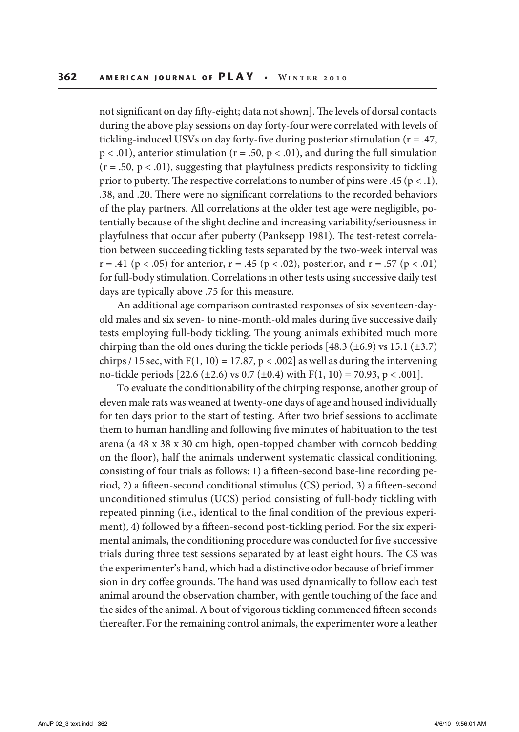not significant on day fifty-eight; data not shown]. The levels of dorsal contacts during the above play sessions on day forty-four were correlated with levels of tickling-induced USVs on day forty-five during posterior stimulation (r = .47,  $p < .01$ ), anterior stimulation ( $r = .50$ ,  $p < .01$ ), and during the full simulation  $(r = .50, p < .01)$ , suggesting that playfulness predicts responsivity to tickling prior to puberty. The respective correlations to number of pins were .45 ( $p < .1$ ), .38, and .20. There were no significant correlations to the recorded behaviors of the play partners. All correlations at the older test age were negligible, potentially because of the slight decline and increasing variability/seriousness in playfulness that occur after puberty (Panksepp 1981). The test-retest correlation between succeeding tickling tests separated by the two-week interval was  $r = .41$  ( $p < .05$ ) for anterior,  $r = .45$  ( $p < .02$ ), posterior, and  $r = .57$  ( $p < .01$ ) for full-body stimulation. Correlations in other tests using successive daily test days are typically above .75 for this measure.

An additional age comparison contrasted responses of six seventeen-dayold males and six seven- to nine-month-old males during five successive daily tests employing full-body tickling. The young animals exhibited much more chirping than the old ones during the tickle periods  $[48.3 \, (\pm 6.9)$  vs 15.1  $(\pm 3.7)$ chirps / 15 sec, with  $F(1, 10) = 17.87$ , p < .002] as well as during the intervening no-tickle periods [22.6 ( $\pm$ 2.6) vs 0.7 ( $\pm$ 0.4) with F(1, 10) = 70.93, p < .001].

To evaluate the conditionability of the chirping response, another group of eleven male rats was weaned at twenty-one days of age and housed individually for ten days prior to the start of testing. After two brief sessions to acclimate them to human handling and following five minutes of habituation to the test arena (a 48 x 38 x 30 cm high, open-topped chamber with corncob bedding on the floor), half the animals underwent systematic classical conditioning, consisting of four trials as follows: 1) a fifteen-second base-line recording period, 2) a fifteen-second conditional stimulus (CS) period, 3) a fifteen-second unconditioned stimulus (UCS) period consisting of full-body tickling with repeated pinning (i.e., identical to the final condition of the previous experiment), 4) followed by a fifteen-second post-tickling period. For the six experimental animals, the conditioning procedure was conducted for five successive trials during three test sessions separated by at least eight hours. The CS was the experimenter's hand, which had a distinctive odor because of brief immersion in dry coffee grounds. The hand was used dynamically to follow each test animal around the observation chamber, with gentle touching of the face and the sides of the animal. A bout of vigorous tickling commenced fifteen seconds thereafter. For the remaining control animals, the experimenter wore a leather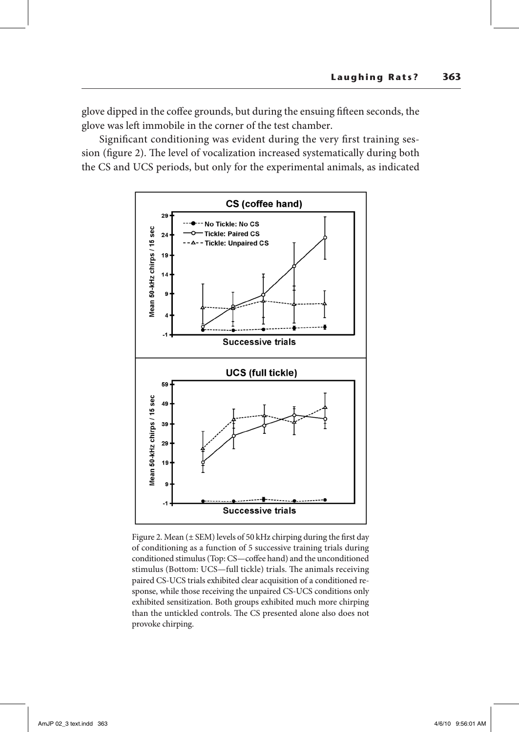glove dipped in the coffee grounds, but during the ensuing fifteen seconds, the glove was left immobile in the corner of the test chamber.

Significant conditioning was evident during the very first training session (figure 2). The level of vocalization increased systematically during both the CS and UCS periods, but only for the experimental animals, as indicated



Figure 2. Mean  $(\pm$  SEM) levels of 50 kHz chirping during the first day of conditioning as a function of 5 successive training trials during conditioned stimulus (Top: CS—coffee hand) and the unconditioned stimulus (Bottom: UCS—full tickle) trials. The animals receiving paired CS-UCS trials exhibited clear acquisition of a conditioned response, while those receiving the unpaired CS-UCS conditions only exhibited sensitization. Both groups exhibited much more chirping than the untickled controls. The CS presented alone also does not provoke chirping.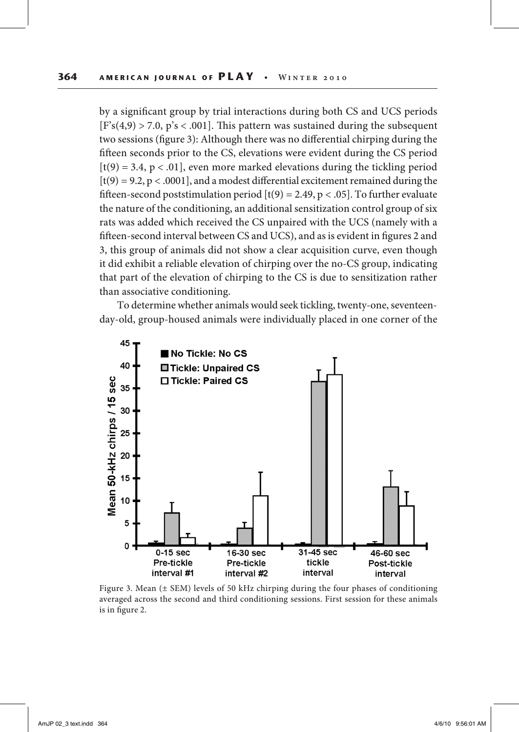by a significant group by trial interactions during both CS and UCS periods  $[F's(4,9) > 7.0, p's < .001]$ . This pattern was sustained during the subsequent two sessions (figure 3): Although there was no differential chirping during the fifteen seconds prior to the CS, elevations were evident during the CS period  $[t(9) = 3.4, p < .01]$ , even more marked elevations during the tickling period  $[t(9) = 9.2, p < .0001]$ , and a modest differential excitement remained during the fifteen-second poststimulation period  $[t(9) = 2.49, p < .05]$ . To further evaluate the nature of the conditioning, an additional sensitization control group of six rats was added which received the CS unpaired with the UCS (namely with a fifteen-second interval between CS and UCS), and as is evident in figures 2 and 3, this group of animals did not show a clear acquisition curve, even though it did exhibit a reliable elevation of chirping over the no-CS group, indicating that part of the elevation of chirping to the CS is due to sensitization rather than associative conditioning.

To determine whether animals would seek tickling, twenty-one, seventeenday-old, group-housed animals were individually placed in one corner of the



Figure 3. Mean  $(\pm$  SEM) levels of 50 kHz chirping during the four phases of conditioning averaged across the second and third conditioning sessions. First session for these animals is in figure 2.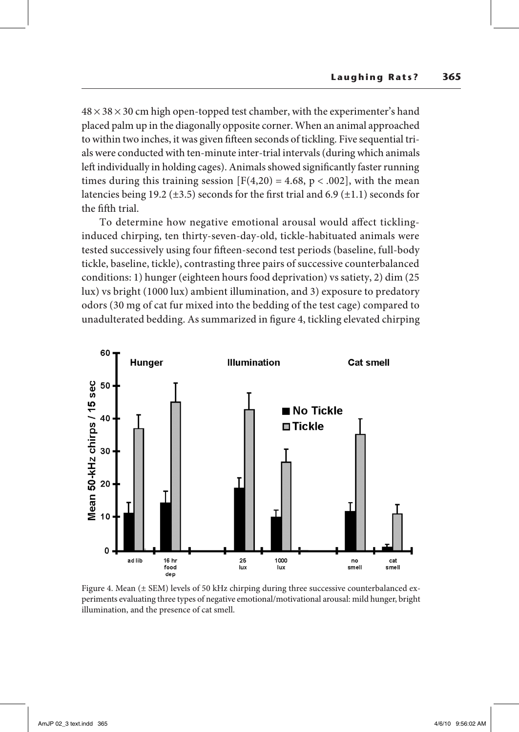$48 \times 38 \times 30$  cm high open-topped test chamber, with the experimenter's hand placed palm up in the diagonally opposite corner. When an animal approached to within two inches, it was given fifteen seconds of tickling. Five sequential trials were conducted with ten-minute inter-trial intervals (during which animals left individually in holding cages). Animals showed significantly faster running times during this training session  $[F(4,20) = 4.68, p < .002]$ , with the mean latencies being 19.2 ( $\pm$ 3.5) seconds for the first trial and 6.9 ( $\pm$ 1.1) seconds for the fifth trial.

To determine how negative emotional arousal would affect ticklinginduced chirping, ten thirty-seven-day-old, tickle-habituated animals were tested successively using four fifteen-second test periods (baseline, full-body tickle, baseline, tickle), contrasting three pairs of successive counterbalanced conditions: 1) hunger (eighteen hours food deprivation) vs satiety, 2) dim (25 lux) vs bright (1000 lux) ambient illumination, and 3) exposure to predatory odors (30 mg of cat fur mixed into the bedding of the test cage) compared to unadulterated bedding. As summarized in figure 4, tickling elevated chirping



Figure 4. Mean ( $\pm$  SEM) levels of 50 kHz chirping during three successive counterbalanced experiments evaluating three types of negative emotional/motivational arousal: mild hunger, bright illumination, and the presence of cat smell.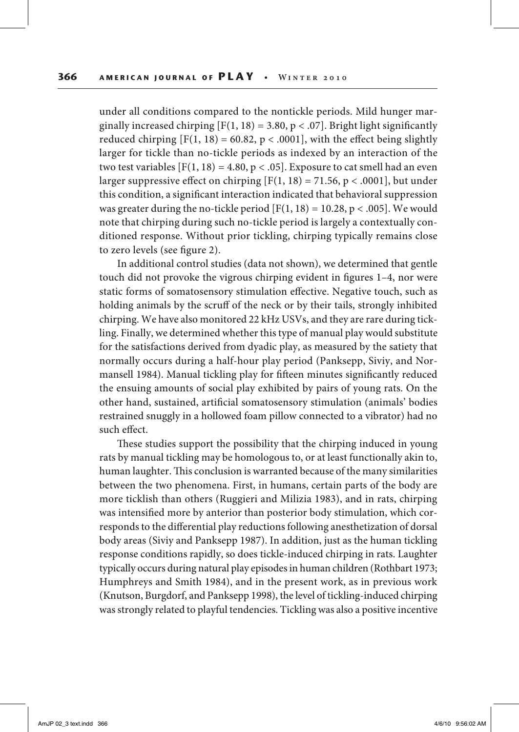under all conditions compared to the nontickle periods. Mild hunger marginally increased chirping  $[F(1, 18) = 3.80, p < .07]$ . Bright light significantly reduced chirping  $[F(1, 18) = 60.82, p < .0001]$ , with the effect being slightly larger for tickle than no-tickle periods as indexed by an interaction of the two test variables  $[F(1, 18) = 4.80, p < .05]$ . Exposure to cat smell had an even larger suppressive effect on chirping  $[F(1, 18) = 71.56, p < .0001]$ , but under this condition, a significant interaction indicated that behavioral suppression was greater during the no-tickle period  $[F(1, 18) = 10.28, p < .005]$ . We would note that chirping during such no-tickle period is largely a contextually conditioned response. Without prior tickling, chirping typically remains close to zero levels (see figure 2).

In additional control studies (data not shown), we determined that gentle touch did not provoke the vigrous chirping evident in figures 1–4, nor were static forms of somatosensory stimulation effective. Negative touch, such as holding animals by the scruff of the neck or by their tails, strongly inhibited chirping. We have also monitored 22 kHz USVs, and they are rare during tickling. Finally, we determined whether this type of manual play would substitute for the satisfactions derived from dyadic play, as measured by the satiety that normally occurs during a half-hour play period (Panksepp, Siviy, and Normansell 1984). Manual tickling play for fifteen minutes significantly reduced the ensuing amounts of social play exhibited by pairs of young rats. On the other hand, sustained, artificial somatosensory stimulation (animals' bodies restrained snuggly in a hollowed foam pillow connected to a vibrator) had no such effect.

These studies support the possibility that the chirping induced in young rats by manual tickling may be homologous to, or at least functionally akin to, human laughter. This conclusion is warranted because of the many similarities between the two phenomena. First, in humans, certain parts of the body are more ticklish than others (Ruggieri and Milizia 1983), and in rats, chirping was intensified more by anterior than posterior body stimulation, which corresponds to the differential play reductions following anesthetization of dorsal body areas (Siviy and Panksepp 1987). In addition, just as the human tickling response conditions rapidly, so does tickle-induced chirping in rats. Laughter typically occurs during natural play episodes in human children (Rothbart 1973; Humphreys and Smith 1984), and in the present work, as in previous work (Knutson, Burgdorf, and Panksepp 1998), the level of tickling-induced chirping was strongly related to playful tendencies. Tickling was also a positive incentive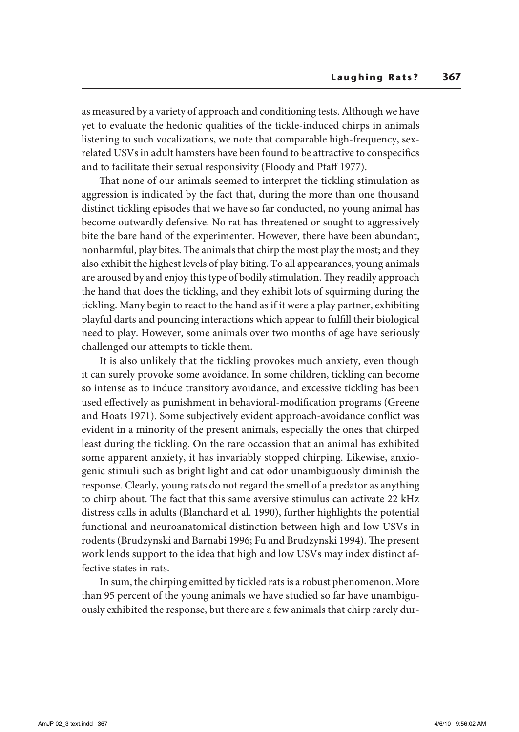as measured by a variety of approach and conditioning tests. Although we have yet to evaluate the hedonic qualities of the tickle-induced chirps in animals listening to such vocalizations, we note that comparable high-frequency, sexrelated USVs in adult hamsters have been found to be attractive to conspecifics and to facilitate their sexual responsivity (Floody and Pfaff 1977).

That none of our animals seemed to interpret the tickling stimulation as aggression is indicated by the fact that, during the more than one thousand distinct tickling episodes that we have so far conducted, no young animal has become outwardly defensive. No rat has threatened or sought to aggressively bite the bare hand of the experimenter. However, there have been abundant, nonharmful, play bites. The animals that chirp the most play the most; and they also exhibit the highest levels of play biting. To all appearances, young animals are aroused by and enjoy this type of bodily stimulation. They readily approach the hand that does the tickling, and they exhibit lots of squirming during the tickling. Many begin to react to the hand as if it were a play partner, exhibiting playful darts and pouncing interactions which appear to fulfill their biological need to play. However, some animals over two months of age have seriously challenged our attempts to tickle them.

It is also unlikely that the tickling provokes much anxiety, even though it can surely provoke some avoidance. In some children, tickling can become so intense as to induce transitory avoidance, and excessive tickling has been used effectively as punishment in behavioral-modification programs (Greene and Hoats 1971). Some subjectively evident approach-avoidance conflict was evident in a minority of the present animals, especially the ones that chirped least during the tickling. On the rare occassion that an animal has exhibited some apparent anxiety, it has invariably stopped chirping. Likewise, anxiogenic stimuli such as bright light and cat odor unambiguously diminish the response. Clearly, young rats do not regard the smell of a predator as anything to chirp about. The fact that this same aversive stimulus can activate 22 kHz distress calls in adults (Blanchard et al. 1990), further highlights the potential functional and neuroanatomical distinction between high and low USVs in rodents (Brudzynski and Barnabi 1996; Fu and Brudzynski 1994). The present work lends support to the idea that high and low USVs may index distinct affective states in rats.

In sum, the chirping emitted by tickled rats is a robust phenomenon. More than 95 percent of the young animals we have studied so far have unambiguously exhibited the response, but there are a few animals that chirp rarely dur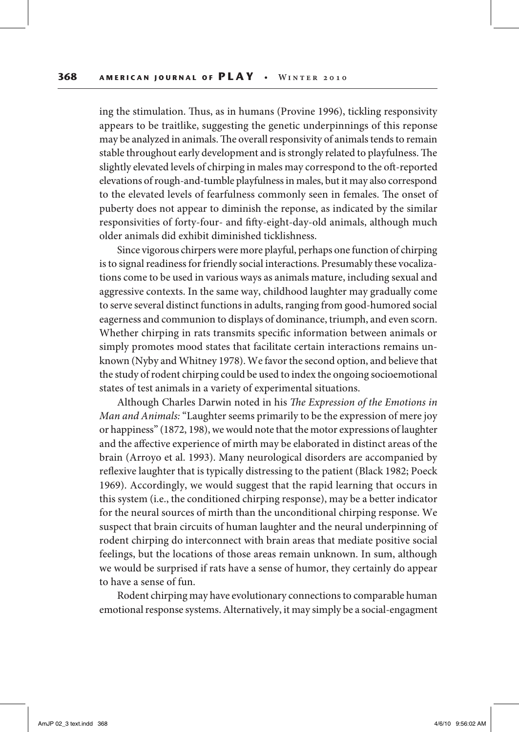ing the stimulation. Thus, as in humans (Provine 1996), tickling responsivity appears to be traitlike, suggesting the genetic underpinnings of this reponse may be analyzed in animals. The overall responsivity of animals tends to remain stable throughout early development and is strongly related to playfulness. The slightly elevated levels of chirping in males may correspond to the oft-reported elevations of rough-and-tumble playfulness in males, but it may also correspond to the elevated levels of fearfulness commonly seen in females. The onset of puberty does not appear to diminish the reponse, as indicated by the similar responsivities of forty-four- and fifty-eight-day-old animals, although much older animals did exhibit diminished ticklishness.

Since vigorous chirpers were more playful, perhaps one function of chirping is to signal readiness for friendly social interactions. Presumably these vocalizations come to be used in various ways as animals mature, including sexual and aggressive contexts. In the same way, childhood laughter may gradually come to serve several distinct functions in adults, ranging from good-humored social eagerness and communion to displays of dominance, triumph, and even scorn. Whether chirping in rats transmits specific information between animals or simply promotes mood states that facilitate certain interactions remains unknown (Nyby and Whitney 1978). We favor the second option, and believe that the study of rodent chirping could be used to index the ongoing socioemotional states of test animals in a variety of experimental situations.

Although Charles Darwin noted in his *The Expression of the Emotions in Man and Animals:* "Laughter seems primarily to be the expression of mere joy or happiness" (1872, 198), we would note that the motor expressions of laughter and the affective experience of mirth may be elaborated in distinct areas of the brain (Arroyo et al. 1993). Many neurological disorders are accompanied by reflexive laughter that is typically distressing to the patient (Black 1982; Poeck 1969). Accordingly, we would suggest that the rapid learning that occurs in this system (i.e., the conditioned chirping response), may be a better indicator for the neural sources of mirth than the unconditional chirping response. We suspect that brain circuits of human laughter and the neural underpinning of rodent chirping do interconnect with brain areas that mediate positive social feelings, but the locations of those areas remain unknown. In sum, although we would be surprised if rats have a sense of humor, they certainly do appear to have a sense of fun.

Rodent chirping may have evolutionary connections to comparable human emotional response systems. Alternatively, it may simply be a social-engagment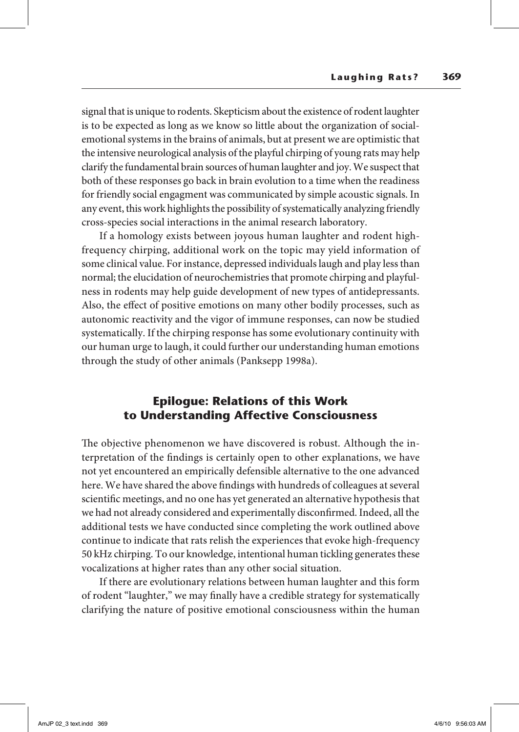signal that is unique to rodents. Skepticism about the existence of rodent laughter is to be expected as long as we know so little about the organization of socialemotional systems in the brains of animals, but at present we are optimistic that the intensive neurological analysis of the playful chirping of young rats may help clarify the fundamental brain sources of human laughter and joy. We suspect that both of these responses go back in brain evolution to a time when the readiness for friendly social engagment was communicated by simple acoustic signals. In any event, this work highlights the possibility of systematically analyzing friendly cross-species social interactions in the animal research laboratory.

If a homology exists between joyous human laughter and rodent highfrequency chirping, additional work on the topic may yield information of some clinical value. For instance, depressed individuals laugh and play less than normal; the elucidation of neurochemistries that promote chirping and playfulness in rodents may help guide development of new types of antidepressants. Also, the effect of positive emotions on many other bodily processes, such as autonomic reactivity and the vigor of immune responses, can now be studied systematically. If the chirping response has some evolutionary continuity with our human urge to laugh, it could further our understanding human emotions through the study of other animals (Panksepp 1998a).

### **Epilogue: Relations of this Work to Understanding Affective Consciousness**

The objective phenomenon we have discovered is robust. Although the interpretation of the findings is certainly open to other explanations, we have not yet encountered an empirically defensible alternative to the one advanced here. We have shared the above findings with hundreds of colleagues at several scientific meetings, and no one has yet generated an alternative hypothesis that we had not already considered and experimentally disconfirmed. Indeed, all the additional tests we have conducted since completing the work outlined above continue to indicate that rats relish the experiences that evoke high-frequency 50 kHz chirping. To our knowledge, intentional human tickling generates these vocalizations at higher rates than any other social situation.

If there are evolutionary relations between human laughter and this form of rodent "laughter," we may finally have a credible strategy for systematically clarifying the nature of positive emotional consciousness within the human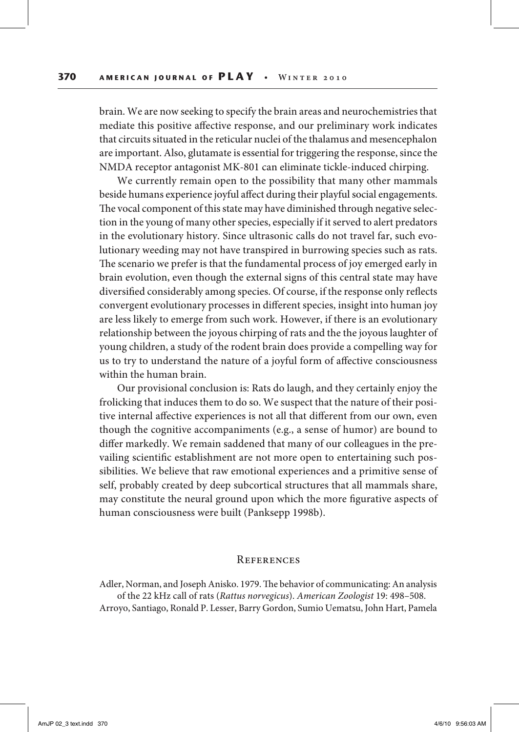brain. We are now seeking to specify the brain areas and neurochemistries that mediate this positive affective response, and our preliminary work indicates that circuits situated in the reticular nuclei of the thalamus and mesencephalon are important. Also, glutamate is essential for triggering the response, since the NMDA receptor antagonist MK-801 can eliminate tickle-induced chirping.

We currently remain open to the possibility that many other mammals beside humans experience joyful affect during their playful social engagements. The vocal component of this state may have diminished through negative selection in the young of many other species, especially if it served to alert predators in the evolutionary history. Since ultrasonic calls do not travel far, such evolutionary weeding may not have transpired in burrowing species such as rats. The scenario we prefer is that the fundamental process of joy emerged early in brain evolution, even though the external signs of this central state may have diversified considerably among species. Of course, if the response only reflects convergent evolutionary processes in different species, insight into human joy are less likely to emerge from such work. However, if there is an evolutionary relationship between the joyous chirping of rats and the the joyous laughter of young children, a study of the rodent brain does provide a compelling way for us to try to understand the nature of a joyful form of affective consciousness within the human brain.

Our provisional conclusion is: Rats do laugh, and they certainly enjoy the frolicking that induces them to do so. We suspect that the nature of their positive internal affective experiences is not all that different from our own, even though the cognitive accompaniments (e.g., a sense of humor) are bound to differ markedly. We remain saddened that many of our colleagues in the prevailing scientific establishment are not more open to entertaining such possibilities. We believe that raw emotional experiences and a primitive sense of self, probably created by deep subcortical structures that all mammals share, may constitute the neural ground upon which the more figurative aspects of human consciousness were built (Panksepp 1998b).

#### **REFERENCES**

Adler, Norman, and Joseph Anisko. 1979. The behavior of communicating: An analysis of the 22 kHz call of rats (*Rattus norvegicus*). *American Zoologist* 19: 498–508. Arroyo, Santiago, Ronald P. Lesser, Barry Gordon, Sumio Uematsu, John Hart, Pamela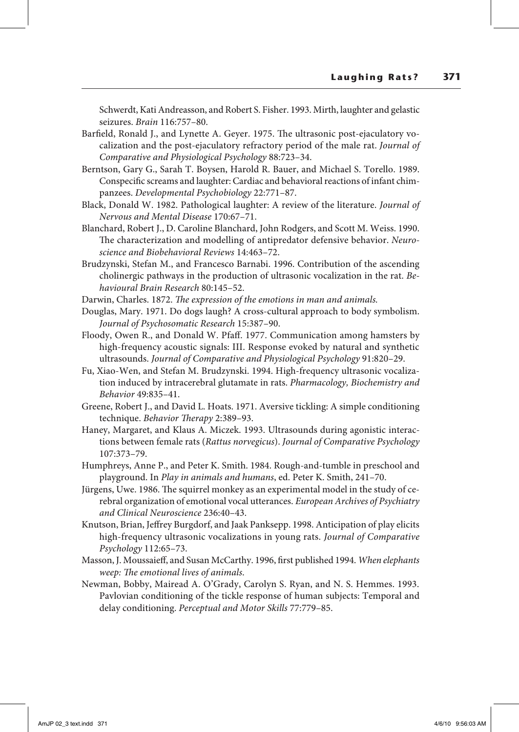Schwerdt, Kati Andreasson, and Robert S. Fisher. 1993. Mirth, laughter and gelastic seizures. *Brain* 116:757–80.

- Barfield, Ronald J., and Lynette A. Geyer. 1975. The ultrasonic post-ejaculatory vocalization and the post-ejaculatory refractory period of the male rat. *Journal of Comparative and Physiological Psychology* 88:723–34.
- Berntson, Gary G., Sarah T. Boysen, Harold R. Bauer, and Michael S. Torello. 1989. Conspecific screams and laughter: Cardiac and behavioral reactions of infant chimpanzees. *Developmental Psychobiology* 22:771–87.
- Black, Donald W. 1982. Pathological laughter: A review of the literature. *Journal of Nervous and Mental Disease* 170:67–71.
- Blanchard, Robert J., D. Caroline Blanchard, John Rodgers, and Scott M. Weiss. 1990. The characterization and modelling of antipredator defensive behavior. *Neuroscience and Biobehavioral Reviews* 14:463–72.
- Brudzynski, Stefan M., and Francesco Barnabi. 1996. Contribution of the ascending cholinergic pathways in the production of ultrasonic vocalization in the rat. *Behavioural Brain Research* 80:145–52.
- Darwin, Charles. 1872. *The expression of the emotions in man and animals.*
- Douglas, Mary. 1971. Do dogs laugh? A cross-cultural approach to body symbolism. *Journal of Psychosomatic Research* 15:387–90.
- Floody, Owen R., and Donald W. Pfaff. 1977. Communication among hamsters by high-frequency acoustic signals: III. Response evoked by natural and synthetic ultrasounds. *Journal of Comparative and Physiological Psychology* 91:820–29.
- Fu, Xiao-Wen, and Stefan M. Brudzynski. 1994. High-frequency ultrasonic vocalization induced by intracerebral glutamate in rats. *Pharmacology, Biochemistry and Behavior* 49:835–41.
- Greene, Robert J., and David L. Hoats. 1971. Aversive tickling: A simple conditioning technique. *Behavior Therapy* 2:389–93.
- Haney, Margaret, and Klaus A. Miczek. 1993. Ultrasounds during agonistic interactions between female rats (*Rattus norvegicus*). *Journal of Comparative Psychology* 107:373–79.
- Humphreys, Anne P., and Peter K. Smith. 1984. Rough-and-tumble in preschool and playground. In *Play in animals and humans*, ed. Peter K. Smith, 241–70.
- Jürgens, Uwe. 1986. The squirrel monkey as an experimental model in the study of cerebral organization of emotional vocal utterances. *European Archives of Psychiatry and Clinical Neuroscience* 236:40–43.
- Knutson, Brian, Jeffrey Burgdorf, and Jaak Panksepp. 1998. Anticipation of play elicits high-frequency ultrasonic vocalizations in young rats. *Journal of Comparative Psychology* 112:65–73.
- Masson, J. Moussaieff, and Susan McCarthy. 1996, first published 1994. *When elephants weep: The emotional lives of animals*.
- Newman, Bobby, Mairead A. O'Grady, Carolyn S. Ryan, and N. S. Hemmes. 1993. Pavlovian conditioning of the tickle response of human subjects: Temporal and delay conditioning. *Perceptual and Motor Skills* 77:779–85.